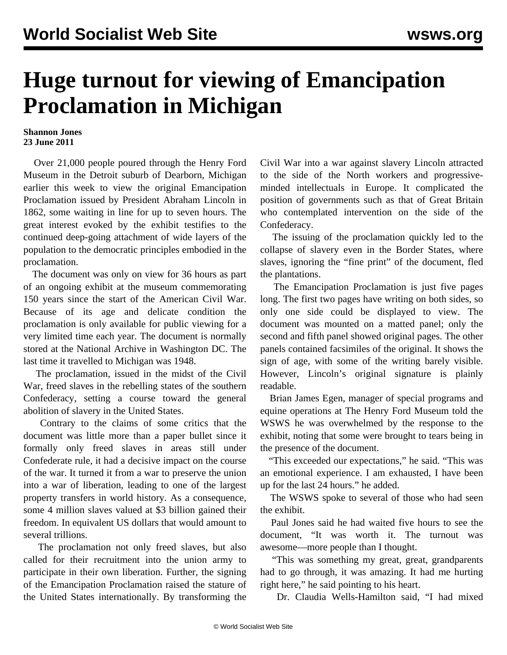## **Huge turnout for viewing of Emancipation Proclamation in Michigan**

## **Shannon Jones 23 June 2011**

 Over 21,000 people poured through the Henry Ford Museum in the Detroit suburb of Dearborn, Michigan earlier this week to view the original Emancipation Proclamation issued by President Abraham Lincoln in 1862, some waiting in line for up to seven hours. The great interest evoked by the exhibit testifies to the continued deep-going attachment of wide layers of the population to the democratic principles embodied in the proclamation.

 The document was only on view for 36 hours as part of an ongoing exhibit at the museum commemorating 150 years since the start of the American Civil War. Because of its age and delicate condition the proclamation is only available for public viewing for a very limited time each year. The document is normally stored at the National Archive in Washington DC. The last time it travelled to Michigan was 1948.

 The proclamation, issued in the midst of the Civil War, freed slaves in the rebelling states of the southern Confederacy, setting a course toward the general abolition of slavery in the United States.

 Contrary to the claims of some critics that the document was little more than a paper bullet since it formally only freed slaves in areas still under Confederate rule, it had a decisive impact on the course of the war. It turned it from a war to preserve the union into a war of liberation, leading to one of the largest property transfers in world history. As a consequence, some 4 million slaves valued at \$3 billion gained their freedom. In equivalent US dollars that would amount to several trillions.

 The proclamation not only freed slaves, but also called for their recruitment into the union army to participate in their own liberation. Further, the signing of the Emancipation Proclamation raised the stature of the United States internationally. By transforming the Civil War into a war against slavery Lincoln attracted to the side of the North workers and progressiveminded intellectuals in Europe. It complicated the position of governments such as that of Great Britain who contemplated intervention on the side of the Confederacy.

 The issuing of the proclamation quickly led to the collapse of slavery even in the Border States, where slaves, ignoring the "fine print" of the document, fled the plantations.

 The Emancipation Proclamation is just five pages long. The first two pages have writing on both sides, so only one side could be displayed to view. The document was mounted on a matted panel; only the second and fifth panel showed original pages. The other panels contained facsimiles of the original. It shows the sign of age, with some of the writing barely visible. However, Lincoln's original signature is plainly readable.

 Brian James Egen, manager of special programs and equine operations at The Henry Ford Museum told the WSWS he was overwhelmed by the response to the exhibit, noting that some were brought to tears being in the presence of the document.

 "This exceeded our expectations," he said. "This was an emotional experience. I am exhausted, I have been up for the last 24 hours." he added.

 The WSWS spoke to several of those who had seen the exhibit.

 Paul Jones said he had waited five hours to see the document, "It was worth it. The turnout was awesome—more people than I thought.

 "This was something my great, great, grandparents had to go through, it was amazing. It had me hurting right here," he said pointing to his heart.

Dr. Claudia Wells-Hamilton said, "I had mixed